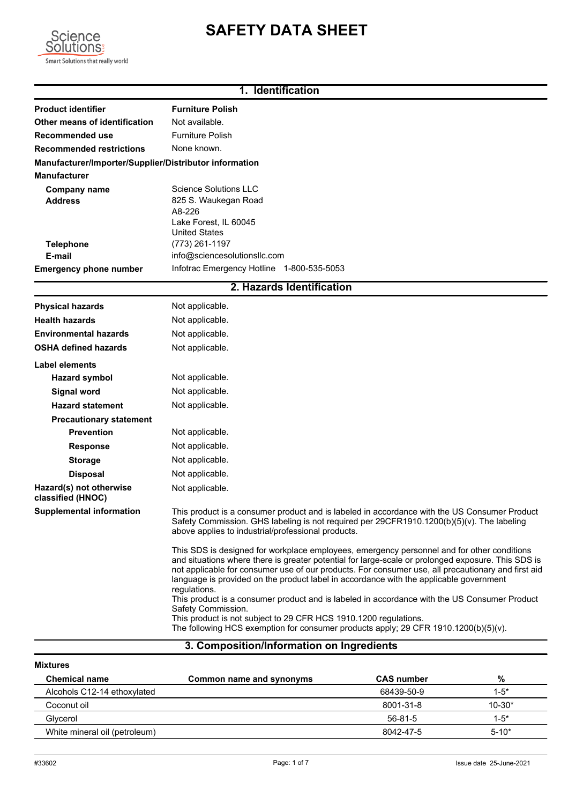# **SAFETY DATA SHEET**

**1. Identification**



# **Product identifier Furniture Polish Other means of identification** Not available. **Recommended use** Furniture Polish **Recommended restrictions** None known. **Manufacturer/Importer/Supplier/Distributor information Manufacturer** Science Solutions LLC **Address** A8-226 825 S. Waukegan Road **Company name Telephone** (773) 261-1197 **Emergency phone number** Infotrac Emergency Hotline 1-800-535-5053 **E-mail** United States info@sciencesolutionsllc.com Lake Forest, IL 60045 **2. Hazards Identification Physical hazards** Not applicable. **Health hazards** Not applicable. **Environmental hazards** Not applicable. **OSHA defined hazards** Not applicable. **Label elements Hazard symbol** Not applicable. **Signal word** Not applicable. **Hazard statement** Not applicable. **Precautionary statement Prevention** Not applicable. **Response** Not applicable. **Storage** Not applicable. **Disposal Hazard(s) not otherwise classified (HNOC) Supplemental information** Not applicable. Not applicable. This product is a consumer product and is labeled in accordance with the US Consumer Product Safety Commission. GHS labeling is not required per 29CFR1910.1200(b)(5)(v). The labeling above applies to industrial/professional products. This SDS is designed for workplace employees, emergency personnel and for other conditions and situations where there is greater potential for large-scale or prolonged exposure. This SDS is not applicable for consumer use of our products. For consumer use, all precautionary and first aid language is provided on the product label in accordance with the applicable government regulations. This product is a consumer product and is labeled in accordance with the US Consumer Product Safety Commission. This product is not subject to 29 CFR HCS 1910.1200 regulations. The following HCS exemption for consumer products apply; 29 CFR 1910.1200(b)(5)(v).

# **3. Composition/Information on Ingredients**

| <b>Mixtures</b>               |                          |                   |            |
|-------------------------------|--------------------------|-------------------|------------|
| <b>Chemical name</b>          | Common name and synonyms | <b>CAS</b> number | %          |
| Alcohols C12-14 ethoxylated   |                          | 68439-50-9        | $1-5*$     |
| Coconut oil                   |                          | 8001-31-8         | $10 - 30*$ |
| Glycerol                      |                          | 56-81-5           | $1-5*$     |
| White mineral oil (petroleum) |                          | 8042-47-5         | $5 - 10*$  |
|                               |                          |                   |            |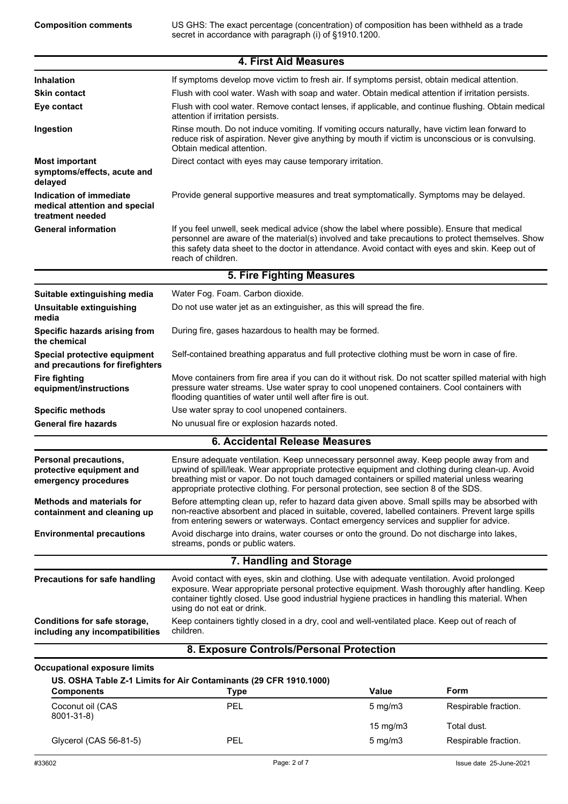US GHS: The exact percentage (concentration) of composition has been withheld as a trade secret in accordance with paragraph (i) of §1910.1200.

|                                                                              | <b>4. First Aid Measures</b>                                                                                                                                                                                                                                                                                                                                                     |                          |                                     |
|------------------------------------------------------------------------------|----------------------------------------------------------------------------------------------------------------------------------------------------------------------------------------------------------------------------------------------------------------------------------------------------------------------------------------------------------------------------------|--------------------------|-------------------------------------|
| Inhalation                                                                   | If symptoms develop move victim to fresh air. If symptoms persist, obtain medical attention.                                                                                                                                                                                                                                                                                     |                          |                                     |
| <b>Skin contact</b>                                                          | Flush with cool water. Wash with soap and water. Obtain medical attention if irritation persists.                                                                                                                                                                                                                                                                                |                          |                                     |
| Eye contact                                                                  | Flush with cool water. Remove contact lenses, if applicable, and continue flushing. Obtain medical<br>attention if irritation persists.                                                                                                                                                                                                                                          |                          |                                     |
| Ingestion                                                                    | Rinse mouth. Do not induce vomiting. If vomiting occurs naturally, have victim lean forward to<br>reduce risk of aspiration. Never give anything by mouth if victim is unconscious or is convulsing.<br>Obtain medical attention.                                                                                                                                                |                          |                                     |
| <b>Most important</b><br>symptoms/effects, acute and<br>delayed              | Direct contact with eyes may cause temporary irritation.                                                                                                                                                                                                                                                                                                                         |                          |                                     |
| Indication of immediate<br>medical attention and special<br>treatment needed | Provide general supportive measures and treat symptomatically. Symptoms may be delayed.                                                                                                                                                                                                                                                                                          |                          |                                     |
| <b>General information</b>                                                   | If you feel unwell, seek medical advice (show the label where possible). Ensure that medical<br>personnel are aware of the material(s) involved and take precautions to protect themselves. Show<br>this safety data sheet to the doctor in attendance. Avoid contact with eyes and skin. Keep out of<br>reach of children.                                                      |                          |                                     |
|                                                                              | <b>5. Fire Fighting Measures</b>                                                                                                                                                                                                                                                                                                                                                 |                          |                                     |
| Suitable extinguishing media                                                 | Water Fog. Foam. Carbon dioxide.                                                                                                                                                                                                                                                                                                                                                 |                          |                                     |
| Unsuitable extinguishing<br>media                                            | Do not use water jet as an extinguisher, as this will spread the fire.                                                                                                                                                                                                                                                                                                           |                          |                                     |
| Specific hazards arising from<br>the chemical                                | During fire, gases hazardous to health may be formed.                                                                                                                                                                                                                                                                                                                            |                          |                                     |
| Special protective equipment<br>and precautions for firefighters             | Self-contained breathing apparatus and full protective clothing must be worn in case of fire.                                                                                                                                                                                                                                                                                    |                          |                                     |
| <b>Fire fighting</b><br>equipment/instructions                               | Move containers from fire area if you can do it without risk. Do not scatter spilled material with high<br>pressure water streams. Use water spray to cool unopened containers. Cool containers with<br>flooding quantities of water until well after fire is out.                                                                                                               |                          |                                     |
| <b>Specific methods</b>                                                      | Use water spray to cool unopened containers.                                                                                                                                                                                                                                                                                                                                     |                          |                                     |
| <b>General fire hazards</b>                                                  | No unusual fire or explosion hazards noted.                                                                                                                                                                                                                                                                                                                                      |                          |                                     |
|                                                                              | <b>6. Accidental Release Measures</b>                                                                                                                                                                                                                                                                                                                                            |                          |                                     |
| Personal precautions,<br>protective equipment and<br>emergency procedures    | Ensure adequate ventilation. Keep unnecessary personnel away. Keep people away from and<br>upwind of spill/leak. Wear appropriate protective equipment and clothing during clean-up. Avoid<br>breathing mist or vapor. Do not touch damaged containers or spilled material unless wearing<br>appropriate protective clothing. For personal protection, see section 8 of the SDS. |                          |                                     |
| <b>Methods and materials for</b><br>containment and cleaning up              | Before attempting clean up, refer to hazard data given above. Small spills may be absorbed with<br>non-reactive absorbent and placed in suitable, covered, labelled containers. Prevent large spills<br>from entering sewers or waterways. Contact emergency services and supplier for advice.                                                                                   |                          |                                     |
| <b>Environmental precautions</b>                                             | Avoid discharge into drains, water courses or onto the ground. Do not discharge into lakes,<br>streams, ponds or public waters.                                                                                                                                                                                                                                                  |                          |                                     |
|                                                                              | 7. Handling and Storage                                                                                                                                                                                                                                                                                                                                                          |                          |                                     |
| Precautions for safe handling                                                | Avoid contact with eyes, skin and clothing. Use with adequate ventilation. Avoid prolonged<br>exposure. Wear appropriate personal protective equipment. Wash thoroughly after handling. Keep<br>container tightly closed. Use good industrial hygiene practices in handling this material. When<br>using do not eat or drink.                                                    |                          |                                     |
| Conditions for safe storage,<br>including any incompatibilities              | Keep containers tightly closed in a dry, cool and well-ventilated place. Keep out of reach of<br>children.                                                                                                                                                                                                                                                                       |                          |                                     |
|                                                                              | 8. Exposure Controls/Personal Protection                                                                                                                                                                                                                                                                                                                                         |                          |                                     |
| <b>Occupational exposure limits</b>                                          |                                                                                                                                                                                                                                                                                                                                                                                  |                          |                                     |
| <b>Components</b>                                                            | US. OSHA Table Z-1 Limits for Air Contaminants (29 CFR 1910.1000)<br><b>Type</b>                                                                                                                                                                                                                                                                                                 | Value                    | Form                                |
| Coconut oil (CAS<br>8001-31-8)                                               | <b>PEL</b>                                                                                                                                                                                                                                                                                                                                                                       | $5 \text{ mg/m}$ 3       | Respirable fraction.                |
| Glycerol (CAS 56-81-5)                                                       | PEL                                                                                                                                                                                                                                                                                                                                                                              | 15 mg/m3<br>$5$ mg/m $3$ | Total dust.<br>Respirable fraction. |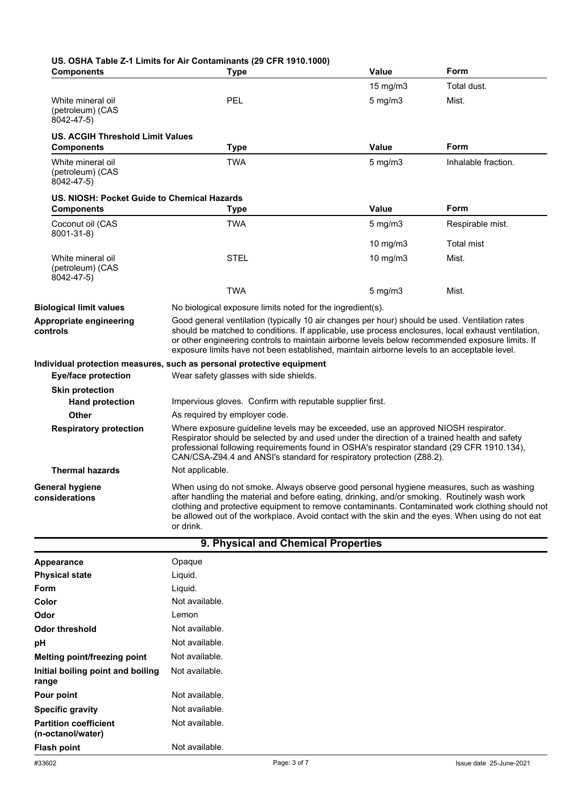| <b>Components</b>                                        | US. OSHA Table Z-1 Limits for Air Contaminants (29 CFR 1910.1000)<br><b>Type</b>                                                                                                                                                                                                                                                                                                                            | <b>Value</b>                                              | Form                |  |
|----------------------------------------------------------|-------------------------------------------------------------------------------------------------------------------------------------------------------------------------------------------------------------------------------------------------------------------------------------------------------------------------------------------------------------------------------------------------------------|-----------------------------------------------------------|---------------------|--|
|                                                          |                                                                                                                                                                                                                                                                                                                                                                                                             | 15 mg/m $3$                                               | Total dust.         |  |
| White mineral oil<br>(petroleum) (CAS<br>8042-47-5)      | PEL                                                                                                                                                                                                                                                                                                                                                                                                         | $5$ mg/m $3$                                              | Mist.               |  |
| <b>US. ACGIH Threshold Limit Values</b>                  |                                                                                                                                                                                                                                                                                                                                                                                                             |                                                           |                     |  |
| <b>Components</b>                                        | <b>Type</b>                                                                                                                                                                                                                                                                                                                                                                                                 | <b>Value</b>                                              | Form                |  |
| White mineral oil<br>(petroleum) (CAS<br>8042-47-5)      | <b>TWA</b>                                                                                                                                                                                                                                                                                                                                                                                                  | $5$ mg/m $3$                                              | Inhalable fraction. |  |
| US. NIOSH: Pocket Guide to Chemical Hazards              |                                                                                                                                                                                                                                                                                                                                                                                                             |                                                           |                     |  |
| <b>Components</b>                                        | <b>Type</b>                                                                                                                                                                                                                                                                                                                                                                                                 | <b>Value</b>                                              | <b>Form</b>         |  |
| Coconut oil (CAS<br>8001-31-8)                           | <b>TWA</b>                                                                                                                                                                                                                                                                                                                                                                                                  | $5 \text{ mg/m}$                                          | Respirable mist.    |  |
|                                                          |                                                                                                                                                                                                                                                                                                                                                                                                             | 10 mg/m3                                                  | <b>Total mist</b>   |  |
| White mineral oil<br>(petroleum) (CAS<br>$8042 - 47 - 5$ | <b>STEL</b>                                                                                                                                                                                                                                                                                                                                                                                                 | 10 mg/m3                                                  | Mist.               |  |
|                                                          | <b>TWA</b>                                                                                                                                                                                                                                                                                                                                                                                                  | $5 \text{ mg/m}$                                          | Mist.               |  |
| <b>Biological limit values</b>                           | No biological exposure limits noted for the ingredient(s).                                                                                                                                                                                                                                                                                                                                                  |                                                           |                     |  |
| Appropriate engineering<br>controls                      | Good general ventilation (typically 10 air changes per hour) should be used. Ventilation rates<br>should be matched to conditions. If applicable, use process enclosures, local exhaust ventilation,<br>or other engineering controls to maintain airborne levels below recommended exposure limits. If<br>exposure limits have not been established, maintain airborne levels to an acceptable level.      |                                                           |                     |  |
|                                                          | Individual protection measures, such as personal protective equipment                                                                                                                                                                                                                                                                                                                                       |                                                           |                     |  |
| <b>Eye/face protection</b>                               | Wear safety glasses with side shields.                                                                                                                                                                                                                                                                                                                                                                      |                                                           |                     |  |
| <b>Skin protection</b>                                   |                                                                                                                                                                                                                                                                                                                                                                                                             |                                                           |                     |  |
| <b>Hand protection</b>                                   |                                                                                                                                                                                                                                                                                                                                                                                                             | Impervious gloves. Confirm with reputable supplier first. |                     |  |
| <b>Other</b>                                             | As required by employer code.                                                                                                                                                                                                                                                                                                                                                                               |                                                           |                     |  |
| <b>Respiratory protection</b>                            | Where exposure guideline levels may be exceeded, use an approved NIOSH respirator.<br>Respirator should be selected by and used under the direction of a trained health and safety<br>professional following requirements found in OSHA's respirator standard (29 CFR 1910.134),<br>CAN/CSA-Z94.4 and ANSI's standard for respiratory protection (Z88.2).                                                   |                                                           |                     |  |
| <b>Thermal hazards</b>                                   | Not applicable.                                                                                                                                                                                                                                                                                                                                                                                             |                                                           |                     |  |
| <b>General hygiene</b><br>considerations                 | When using do not smoke. Always observe good personal hygiene measures, such as washing<br>after handling the material and before eating, drinking, and/or smoking. Routinely wash work<br>clothing and protective equipment to remove contaminants. Contaminated work clothing should not<br>be allowed out of the workplace. Avoid contact with the skin and the eyes. When using do not eat<br>or drink. |                                                           |                     |  |

| 9. Physical and Chemical Properties               |                |  |
|---------------------------------------------------|----------------|--|
| Appearance                                        | Opaque         |  |
| <b>Physical state</b>                             | Liquid.        |  |
| Form                                              | Liquid.        |  |
| Color                                             | Not available. |  |
| Odor                                              | Lemon          |  |
| Odor threshold                                    | Not available. |  |
| рH                                                | Not available. |  |
| Melting point/freezing point                      | Not available. |  |
| Initial boiling point and boiling<br>range        | Not available. |  |
| Pour point                                        | Not available. |  |
| <b>Specific gravity</b>                           | Not available. |  |
| <b>Partition coefficient</b><br>(n-octanol/water) | Not available. |  |
| <b>Flash point</b>                                | Not available. |  |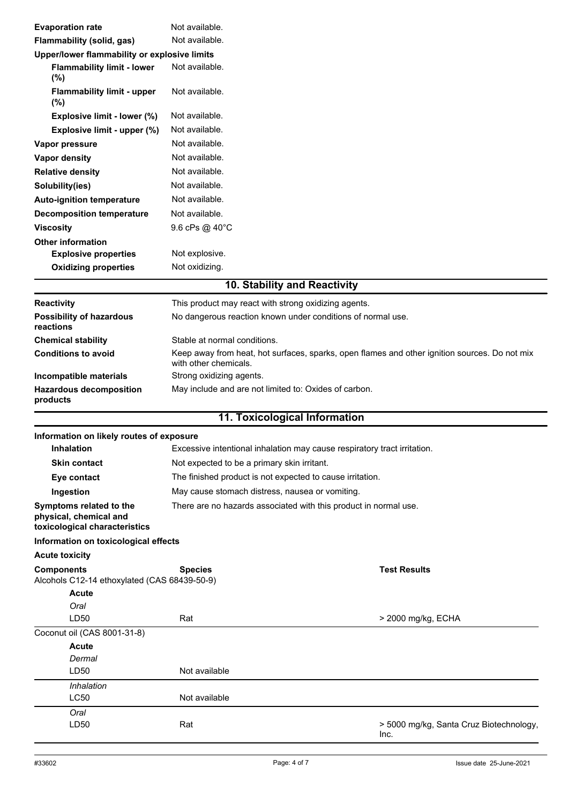| <b>Evaporation rate</b>                                                            | Not available.                                                                                                         |                                                 |
|------------------------------------------------------------------------------------|------------------------------------------------------------------------------------------------------------------------|-------------------------------------------------|
| Flammability (solid, gas)                                                          | Not available.                                                                                                         |                                                 |
| Upper/lower flammability or explosive limits                                       |                                                                                                                        |                                                 |
| <b>Flammability limit - lower</b><br>(%)                                           | Not available.                                                                                                         |                                                 |
| <b>Flammability limit - upper</b><br>$(\% )$                                       | Not available.                                                                                                         |                                                 |
| Explosive limit - lower (%)                                                        | Not available.                                                                                                         |                                                 |
| Explosive limit - upper (%)                                                        | Not available.                                                                                                         |                                                 |
| Vapor pressure                                                                     | Not available.                                                                                                         |                                                 |
| <b>Vapor density</b>                                                               | Not available.                                                                                                         |                                                 |
| <b>Relative density</b>                                                            | Not available.                                                                                                         |                                                 |
| Solubility(ies)                                                                    | Not available.                                                                                                         |                                                 |
| <b>Auto-ignition temperature</b>                                                   | Not available.                                                                                                         |                                                 |
| <b>Decomposition temperature</b>                                                   | Not available.                                                                                                         |                                                 |
| <b>Viscosity</b>                                                                   | 9.6 cPs @ 40°C                                                                                                         |                                                 |
| <b>Other information</b>                                                           |                                                                                                                        |                                                 |
| <b>Explosive properties</b>                                                        | Not explosive.                                                                                                         |                                                 |
| <b>Oxidizing properties</b>                                                        | Not oxidizing.                                                                                                         |                                                 |
|                                                                                    | 10. Stability and Reactivity                                                                                           |                                                 |
| Reactivity                                                                         | This product may react with strong oxidizing agents.                                                                   |                                                 |
| <b>Possibility of hazardous</b><br>reactions                                       | No dangerous reaction known under conditions of normal use.                                                            |                                                 |
| <b>Chemical stability</b>                                                          | Stable at normal conditions.                                                                                           |                                                 |
| <b>Conditions to avoid</b>                                                         | Keep away from heat, hot surfaces, sparks, open flames and other ignition sources. Do not mix<br>with other chemicals. |                                                 |
| Incompatible materials                                                             | Strong oxidizing agents.                                                                                               |                                                 |
| <b>Hazardous decomposition</b><br>products                                         | May include and are not limited to: Oxides of carbon.                                                                  |                                                 |
|                                                                                    | 11. Toxicological Information                                                                                          |                                                 |
| Information on likely routes of exposure                                           |                                                                                                                        |                                                 |
| <b>Inhalation</b>                                                                  | Excessive intentional inhalation may cause respiratory tract irritation.                                               |                                                 |
| Skin contact                                                                       | Not expected to be a primary skin irritant.                                                                            |                                                 |
| Eye contact                                                                        | The finished product is not expected to cause irritation.                                                              |                                                 |
| Ingestion                                                                          | May cause stomach distress, nausea or vomiting.                                                                        |                                                 |
| Symptoms related to the<br>physical, chemical and<br>toxicological characteristics | There are no hazards associated with this product in normal use.                                                       |                                                 |
| Information on toxicological effects                                               |                                                                                                                        |                                                 |
| <b>Acute toxicity</b>                                                              |                                                                                                                        |                                                 |
| <b>Components</b><br>Alcohols C12-14 ethoxylated (CAS 68439-50-9)                  | <b>Species</b>                                                                                                         | <b>Test Results</b>                             |
| <b>Acute</b>                                                                       |                                                                                                                        |                                                 |
| Oral                                                                               |                                                                                                                        |                                                 |
| LD50                                                                               | Rat                                                                                                                    | > 2000 mg/kg, ECHA                              |
| Coconut oil (CAS 8001-31-8)                                                        |                                                                                                                        |                                                 |
| <b>Acute</b>                                                                       |                                                                                                                        |                                                 |
| Dermal                                                                             |                                                                                                                        |                                                 |
| LD50                                                                               | Not available                                                                                                          |                                                 |
| Inhalation                                                                         |                                                                                                                        |                                                 |
| LC50                                                                               | Not available                                                                                                          |                                                 |
| Oral<br>LD50                                                                       | Rat                                                                                                                    | > 5000 mg/kg, Santa Cruz Biotechnology,<br>Inc. |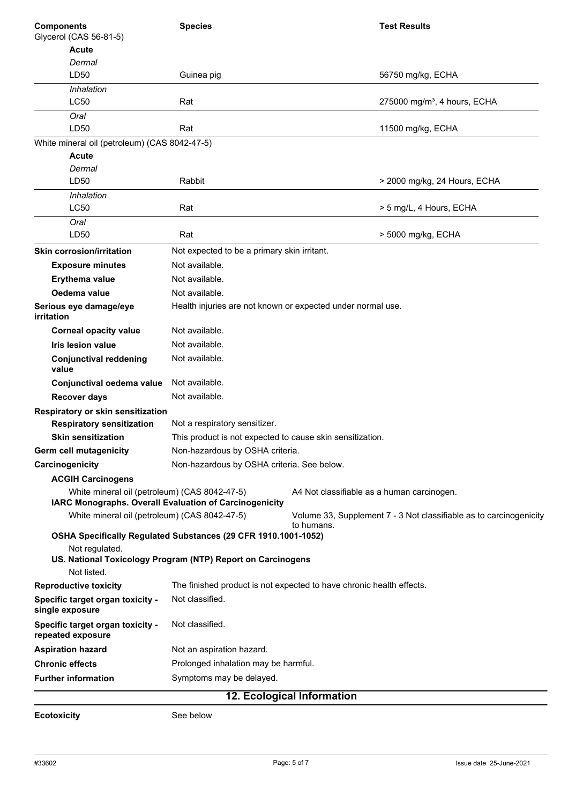| <b>Components</b>                                     | <b>Species</b>                                                 | <b>Test Results</b>                                                              |
|-------------------------------------------------------|----------------------------------------------------------------|----------------------------------------------------------------------------------|
| Glycerol (CAS 56-81-5)                                |                                                                |                                                                                  |
| <b>Acute</b>                                          |                                                                |                                                                                  |
| Dermal<br>LD50                                        | Guinea pig                                                     | 56750 mg/kg, ECHA                                                                |
|                                                       |                                                                |                                                                                  |
| Inhalation<br>LC50                                    | Rat                                                            | 275000 mg/m <sup>3</sup> , 4 hours, ECHA                                         |
|                                                       |                                                                |                                                                                  |
| Oral<br>LD50                                          | Rat                                                            | 11500 mg/kg, ECHA                                                                |
| White mineral oil (petroleum) (CAS 8042-47-5)         |                                                                |                                                                                  |
| Acute                                                 |                                                                |                                                                                  |
| Dermal                                                |                                                                |                                                                                  |
| LD50                                                  | Rabbit                                                         | > 2000 mg/kg, 24 Hours, ECHA                                                     |
| Inhalation                                            |                                                                |                                                                                  |
| LC50                                                  | Rat                                                            | > 5 mg/L, 4 Hours, ECHA                                                          |
| Oral                                                  |                                                                |                                                                                  |
| LD50                                                  | Rat                                                            | > 5000 mg/kg, ECHA                                                               |
| <b>Skin corrosion/irritation</b>                      | Not expected to be a primary skin irritant.                    |                                                                                  |
| <b>Exposure minutes</b>                               | Not available.                                                 |                                                                                  |
| Erythema value                                        | Not available.                                                 |                                                                                  |
| Oedema value                                          | Not available.                                                 |                                                                                  |
| Serious eye damage/eye<br><i>irritation</i>           | Health injuries are not known or expected under normal use.    |                                                                                  |
| <b>Corneal opacity value</b>                          | Not available.                                                 |                                                                                  |
| <b>Iris lesion value</b>                              | Not available.                                                 |                                                                                  |
| <b>Conjunctival reddening</b><br>value                | Not available.                                                 |                                                                                  |
| Conjunctival oedema value                             | Not available.                                                 |                                                                                  |
| <b>Recover days</b>                                   | Not available.                                                 |                                                                                  |
| Respiratory or skin sensitization                     |                                                                |                                                                                  |
| <b>Respiratory sensitization</b>                      | Not a respiratory sensitizer.                                  |                                                                                  |
| <b>Skin sensitization</b>                             | This product is not expected to cause skin sensitization.      |                                                                                  |
| Germ cell mutagenicity                                | Non-hazardous by OSHA criteria.                                |                                                                                  |
| Carcinogenicity                                       | Non-hazardous by OSHA criteria. See below.                     |                                                                                  |
| <b>ACGIH Carcinogens</b>                              |                                                                |                                                                                  |
| White mineral oil (petroleum) (CAS 8042-47-5)         | IARC Monographs. Overall Evaluation of Carcinogenicity         | A4 Not classifiable as a human carcinogen.                                       |
| White mineral oil (petroleum) (CAS 8042-47-5)         |                                                                | Volume 33, Supplement 7 - 3 Not classifiable as to carcinogenicity<br>to humans. |
|                                                       | OSHA Specifically Regulated Substances (29 CFR 1910.1001-1052) |                                                                                  |
| Not regulated.                                        | US. National Toxicology Program (NTP) Report on Carcinogens    |                                                                                  |
| Not listed.                                           |                                                                | The finished product is not expected to have chronic health effects.             |
| <b>Reproductive toxicity</b>                          | Not classified.                                                |                                                                                  |
| Specific target organ toxicity -<br>single exposure   |                                                                |                                                                                  |
| Specific target organ toxicity -<br>repeated exposure | Not classified.                                                |                                                                                  |
| <b>Aspiration hazard</b>                              | Not an aspiration hazard.                                      |                                                                                  |
| <b>Chronic effects</b>                                | Prolonged inhalation may be harmful.                           |                                                                                  |
| <b>Further information</b>                            | Symptoms may be delayed.                                       |                                                                                  |
|                                                       |                                                                | 12. Ecological Information                                                       |

**Ecotoxicity** See below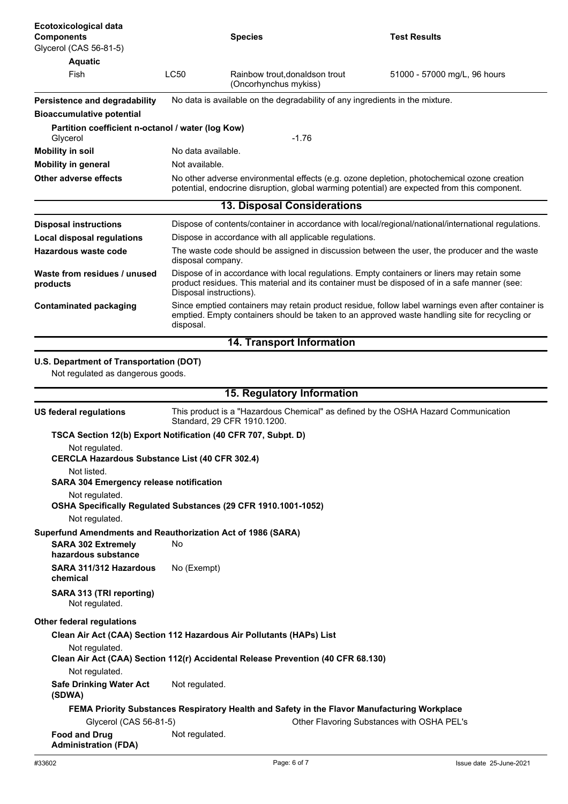| Ecotoxicological data<br><b>Components</b><br>Glycerol (CAS 56-81-5)            |                                                                                                                                                                                                                        | <b>Species</b>                                                                               | <b>Test Results</b>                                                                                                                                                                        |
|---------------------------------------------------------------------------------|------------------------------------------------------------------------------------------------------------------------------------------------------------------------------------------------------------------------|----------------------------------------------------------------------------------------------|--------------------------------------------------------------------------------------------------------------------------------------------------------------------------------------------|
| <b>Aquatic</b>                                                                  |                                                                                                                                                                                                                        |                                                                                              |                                                                                                                                                                                            |
| <b>Fish</b>                                                                     | <b>LC50</b>                                                                                                                                                                                                            | Rainbow trout, donaldson trout<br>(Oncorhynchus mykiss)                                      | 51000 - 57000 mg/L, 96 hours                                                                                                                                                               |
| Persistence and degradability                                                   |                                                                                                                                                                                                                        | No data is available on the degradability of any ingredients in the mixture.                 |                                                                                                                                                                                            |
| <b>Bioaccumulative potential</b>                                                |                                                                                                                                                                                                                        |                                                                                              |                                                                                                                                                                                            |
| Partition coefficient n-octanol / water (log Kow)<br>Glycerol                   |                                                                                                                                                                                                                        | $-1.76$                                                                                      |                                                                                                                                                                                            |
| <b>Mobility in soil</b>                                                         | No data available.                                                                                                                                                                                                     |                                                                                              |                                                                                                                                                                                            |
| <b>Mobility in general</b>                                                      | Not available.                                                                                                                                                                                                         |                                                                                              |                                                                                                                                                                                            |
| <b>Other adverse effects</b>                                                    |                                                                                                                                                                                                                        |                                                                                              | No other adverse environmental effects (e.g. ozone depletion, photochemical ozone creation<br>potential, endocrine disruption, global warming potential) are expected from this component. |
|                                                                                 |                                                                                                                                                                                                                        | <b>13. Disposal Considerations</b>                                                           |                                                                                                                                                                                            |
| <b>Disposal instructions</b>                                                    |                                                                                                                                                                                                                        |                                                                                              | Dispose of contents/container in accordance with local/regional/national/international regulations.                                                                                        |
| <b>Local disposal regulations</b>                                               |                                                                                                                                                                                                                        | Dispose in accordance with all applicable regulations.                                       |                                                                                                                                                                                            |
| <b>Hazardous waste code</b>                                                     | The waste code should be assigned in discussion between the user, the producer and the waste<br>disposal company.                                                                                                      |                                                                                              |                                                                                                                                                                                            |
| Waste from residues / unused<br>products                                        | Dispose of in accordance with local regulations. Empty containers or liners may retain some<br>product residues. This material and its container must be disposed of in a safe manner (see:<br>Disposal instructions). |                                                                                              |                                                                                                                                                                                            |
| <b>Contaminated packaging</b>                                                   | Since emptied containers may retain product residue, follow label warnings even after container is<br>emptied. Empty containers should be taken to an approved waste handling site for recycling or<br>disposal.       |                                                                                              |                                                                                                                                                                                            |
|                                                                                 |                                                                                                                                                                                                                        | <b>14. Transport Information</b>                                                             |                                                                                                                                                                                            |
| U.S. Department of Transportation (DOT)<br>Not regulated as dangerous goods.    |                                                                                                                                                                                                                        | 15. Regulatory Information                                                                   |                                                                                                                                                                                            |
|                                                                                 |                                                                                                                                                                                                                        |                                                                                              |                                                                                                                                                                                            |
| <b>US federal regulations</b>                                                   |                                                                                                                                                                                                                        | Standard, 29 CFR 1910.1200.                                                                  | This product is a "Hazardous Chemical" as defined by the OSHA Hazard Communication                                                                                                         |
| TSCA Section 12(b) Export Notification (40 CFR 707, Subpt. D)                   |                                                                                                                                                                                                                        |                                                                                              |                                                                                                                                                                                            |
| Not regulated.<br><b>CERCLA Hazardous Substance List (40 CFR 302.4)</b>         |                                                                                                                                                                                                                        |                                                                                              |                                                                                                                                                                                            |
| Not listed.<br><b>SARA 304 Emergency release notification</b><br>Not regulated. |                                                                                                                                                                                                                        |                                                                                              |                                                                                                                                                                                            |
| Not regulated.                                                                  |                                                                                                                                                                                                                        | OSHA Specifically Regulated Substances (29 CFR 1910.1001-1052)                               |                                                                                                                                                                                            |
| Superfund Amendments and Reauthorization Act of 1986 (SARA)                     |                                                                                                                                                                                                                        |                                                                                              |                                                                                                                                                                                            |
| <b>SARA 302 Extremely</b><br>hazardous substance                                | No                                                                                                                                                                                                                     |                                                                                              |                                                                                                                                                                                            |
| SARA 311/312 Hazardous<br>chemical                                              | No (Exempt)                                                                                                                                                                                                            |                                                                                              |                                                                                                                                                                                            |
| SARA 313 (TRI reporting)<br>Not regulated.                                      |                                                                                                                                                                                                                        |                                                                                              |                                                                                                                                                                                            |
| <b>Other federal regulations</b>                                                |                                                                                                                                                                                                                        |                                                                                              |                                                                                                                                                                                            |
|                                                                                 |                                                                                                                                                                                                                        | Clean Air Act (CAA) Section 112 Hazardous Air Pollutants (HAPs) List                         |                                                                                                                                                                                            |
| Not regulated.                                                                  |                                                                                                                                                                                                                        | Clean Air Act (CAA) Section 112(r) Accidental Release Prevention (40 CFR 68.130)             |                                                                                                                                                                                            |
| Not regulated.<br><b>Safe Drinking Water Act</b><br>(SDWA)                      | Not regulated.                                                                                                                                                                                                         |                                                                                              |                                                                                                                                                                                            |
|                                                                                 |                                                                                                                                                                                                                        | FEMA Priority Substances Respiratory Health and Safety in the Flavor Manufacturing Workplace |                                                                                                                                                                                            |
| Glycerol (CAS 56-81-5)                                                          |                                                                                                                                                                                                                        |                                                                                              | Other Flavoring Substances with OSHA PEL's                                                                                                                                                 |
| <b>Food and Drug</b><br><b>Administration (FDA)</b>                             | Not regulated.                                                                                                                                                                                                         |                                                                                              |                                                                                                                                                                                            |